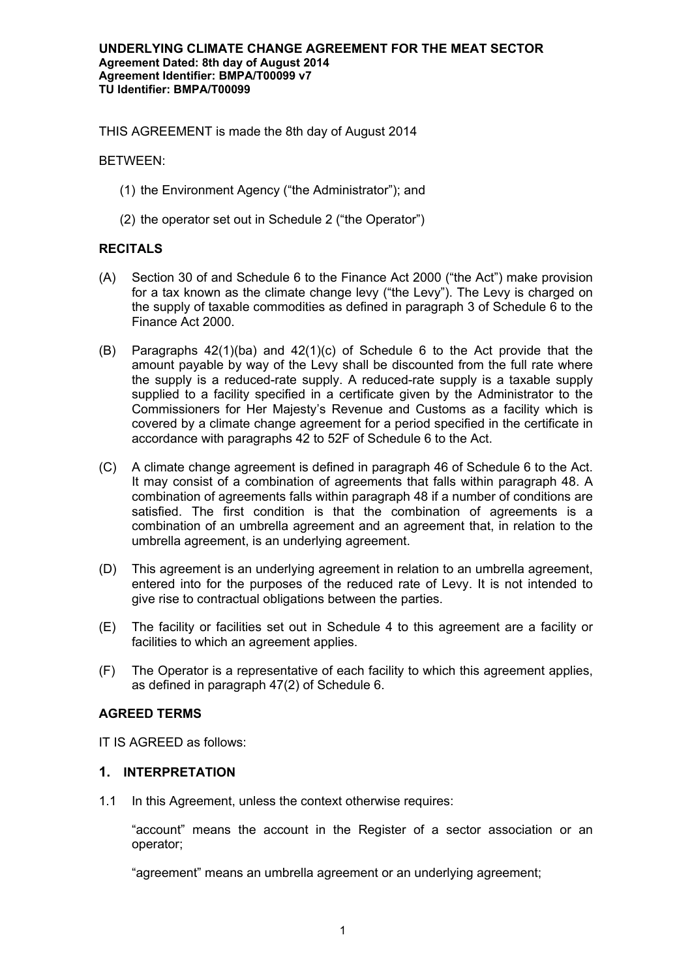THIS AGREEMENT is made the 8th day of August 2014

BETWEEN:

- (1) the Environment Agency ("the Administrator"); and
- (2) the operator set out in Schedule 2 ("the Operator")

# **RECITALS**

- (A) Section 30 of and Schedule 6 to the Finance Act 2000 ("the Act") make provision for a tax known as the climate change levy ("the Levy"). The Levy is charged on the supply of taxable commodities as defined in paragraph 3 of Schedule 6 to the Finance Act 2000.
- (B) Paragraphs 42(1)(ba) and 42(1)(c) of Schedule 6 to the Act provide that the amount payable by way of the Levy shall be discounted from the full rate where the supply is a reduced-rate supply. A reduced-rate supply is a taxable supply supplied to a facility specified in a certificate given by the Administrator to the Commissioners for Her Majesty's Revenue and Customs as a facility which is covered by a climate change agreement for a period specified in the certificate in accordance with paragraphs 42 to 52F of Schedule 6 to the Act.
- (C) A climate change agreement is defined in paragraph 46 of Schedule 6 to the Act. It may consist of a combination of agreements that falls within paragraph 48. A combination of agreements falls within paragraph 48 if a number of conditions are satisfied. The first condition is that the combination of agreements is a combination of an umbrella agreement and an agreement that, in relation to the umbrella agreement, is an underlying agreement.
- (D) This agreement is an underlying agreement in relation to an umbrella agreement, entered into for the purposes of the reduced rate of Levy. It is not intended to give rise to contractual obligations between the parties.
- (E) The facility or facilities set out in Schedule 4 to this agreement are a facility or facilities to which an agreement applies.
- (F) The Operator is a representative of each facility to which this agreement applies, as defined in paragraph 47(2) of Schedule 6.

### **AGREED TERMS**

IT IS AGREED as follows:

## **1. INTERPRETATION**

1.1 In this Agreement, unless the context otherwise requires:

"account" means the account in the Register of a sector association or an operator;

"agreement" means an umbrella agreement or an underlying agreement;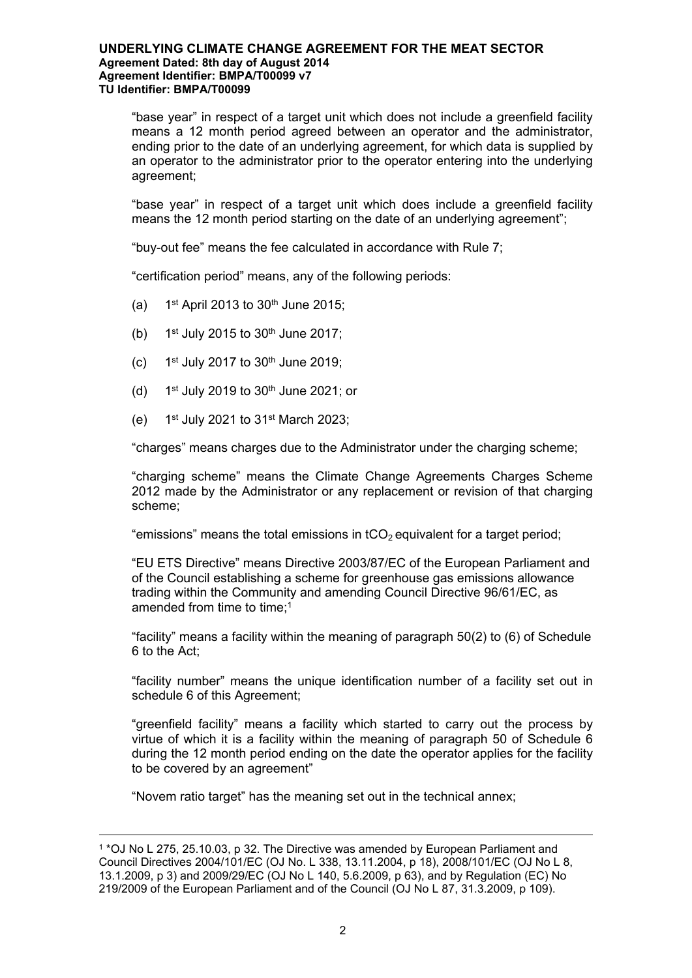"base year" in respect of a target unit which does not include a greenfield facility means a 12 month period agreed between an operator and the administrator, ending prior to the date of an underlying agreement, for which data is supplied by an operator to the administrator prior to the operator entering into the underlying agreement;

"base year" in respect of a target unit which does include a greenfield facility means the 12 month period starting on the date of an underlying agreement";

"buy-out fee" means the fee calculated in accordance with Rule 7;

"certification period" means, any of the following periods:

- $(a)$  $1<sup>st</sup>$  April 2013 to 30<sup>th</sup> June 2015;
- $(b)$  $1<sup>st</sup>$  July 2015 to 30<sup>th</sup> June 2017;
- $(c)$  $1<sup>st</sup>$  July 2017 to  $30<sup>th</sup>$  June 2019;
- $(d)$ 1st July 2019 to  $30<sup>th</sup>$  June 2021; or
- (e) 1 1st July 2021 to  $31$ <sup>st</sup> March 2023;

"charges" means charges due to the Administrator under the charging scheme;

"charging scheme" means the Climate Change Agreements Charges Scheme 2012 made by the Administrator or any replacement or revision of that charging scheme;

"emissions" means the total emissions in  $tCO<sub>2</sub>$  equivalent for a target period;

"EU ETS Directive" means Directive 2003/87/EC of the European Parliament and of the Council establishing a scheme for greenhouse gas emissions allowance trading within the Community and amending Council Directive 96/61/EC, as amended from time to time:<sup>1</sup>

"facility" means a facility within the meaning of paragraph 50(2) to (6) of Schedule 6 to the Act;

"facility number" means the unique identification number of a facility set out in schedule 6 of this Agreement;

"greenfield facility" means a facility which started to carry out the process by virtue of which it is a facility within the meaning of paragraph 50 of Schedule 6 during the 12 month period ending on the date the operator applies for the facility to be covered by an agreement"

"Novem ratio target" has the meaning set out in the technical annex;

<sup>1</sup> \*OJ No L 275, 25.10.03, p 32. The Directive was amended by European Parliament and Council Directives 2004/101/EC (OJ No. L 338, 13.11.2004, p 18), 2008/101/EC (OJ No L 8, 13.1.2009, p 3) and 2009/29/EC (OJ No L 140, 5.6.2009, p 63), and by Regulation (EC) No 219/2009 of the European Parliament and of the Council (OJ No L 87, 31.3.2009, p 109).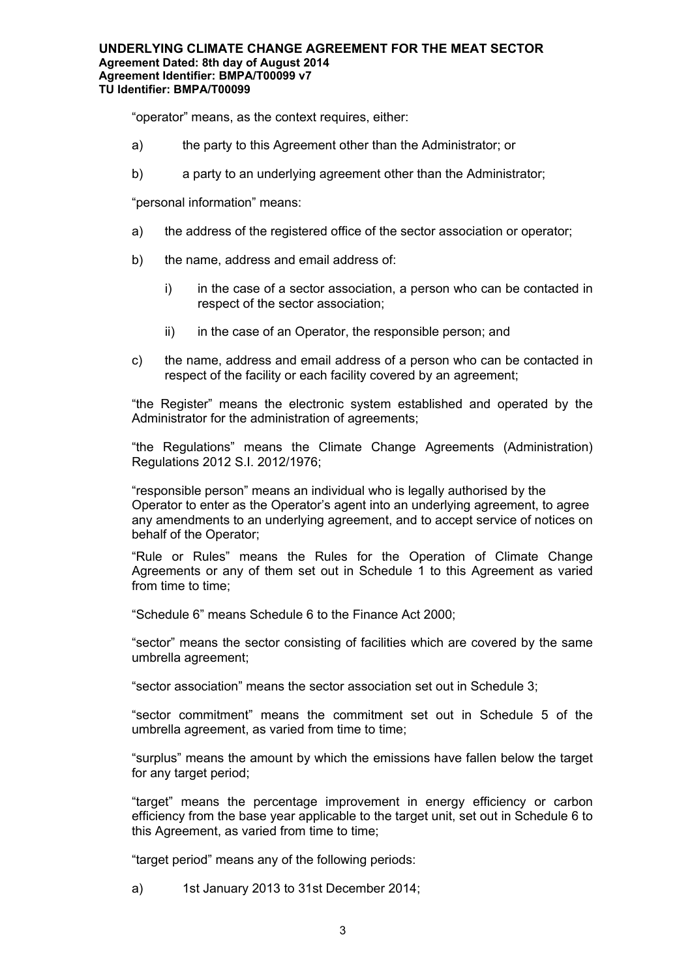"operator" means, as the context requires, either:

- a) the party to this Agreement other than the Administrator; or
- b) a party to an underlying agreement other than the Administrator;

"personal information" means:

- a) the address of the registered office of the sector association or operator;
- b) the name, address and email address of:
	- i) in the case of a sector association, a person who can be contacted in respect of the sector association;
	- ii) in the case of an Operator, the responsible person; and
- c) the name, address and email address of a person who can be contacted in respect of the facility or each facility covered by an agreement;

"the Register" means the electronic system established and operated by the Administrator for the administration of agreements;

"the Regulations" means the Climate Change Agreements (Administration) Regulations 2012 S.I. 2012/1976;

"responsible person" means an individual who is legally authorised by the Operator to enter as the Operator's agent into an underlying agreement, to agree any amendments to an underlying agreement, and to accept service of notices on behalf of the Operator;

"Rule or Rules" means the Rules for the Operation of Climate Change Agreements or any of them set out in Schedule 1 to this Agreement as varied from time to time:

"Schedule 6" means Schedule 6 to the Finance Act 2000;

"sector" means the sector consisting of facilities which are covered by the same umbrella agreement;

"sector association" means the sector association set out in Schedule 3;

"sector commitment" means the commitment set out in Schedule 5 of the umbrella agreement, as varied from time to time;

"surplus" means the amount by which the emissions have fallen below the target for any target period;

"target" means the percentage improvement in energy efficiency or carbon efficiency from the base year applicable to the target unit, set out in Schedule 6 to this Agreement, as varied from time to time;

"target period" means any of the following periods:

a) 1st January 2013 to 31st December 2014;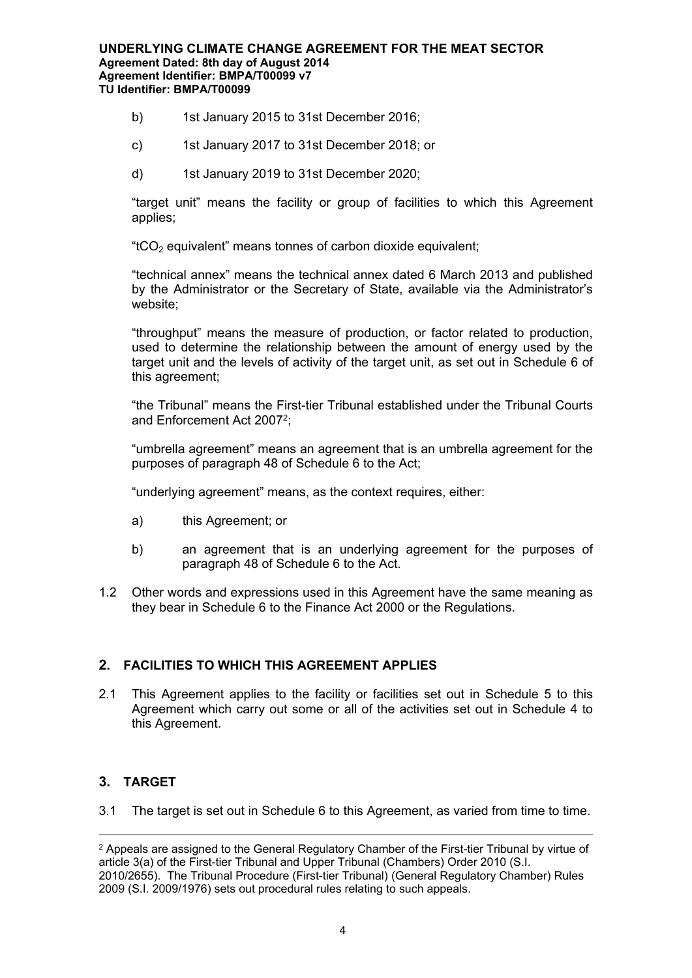- b) 1st January 2015 to 31st December 2016;
- c) 1st January 2017 to 31st December 2018; or
- d) 1st January 2019 to 31st December 2020;

"target unit" means the facility or group of facilities to which this Agreement applies;

" $tCO<sub>2</sub>$  equivalent" means tonnes of carbon dioxide equivalent;

"technical annex" means the technical annex dated 6 March 2013 and published by the Administrator or the Secretary of State, available via the Administrator's website:

"throughput" means the measure of production, or factor related to production, used to determine the relationship between the amount of energy used by the target unit and the levels of activity of the target unit, as set out in Schedule 6 of this agreement;

"the Tribunal" means the First-tier Tribunal established under the Tribunal Courts and Enforcement Act 2007<sup>2</sup>;

"umbrella agreement" means an agreement that is an umbrella agreement for the purposes of paragraph 48 of Schedule 6 to the Act;

"underlying agreement" means, as the context requires, either:

- a) this Agreement; or
- b) an agreement that is an underlying agreement for the purposes of paragraph 48 of Schedule 6 to the Act.
- 1.2 Other words and expressions used in this Agreement have the same meaning as they bear in Schedule 6 to the Finance Act 2000 or the Regulations.

# **2. FACILITIES TO WHICH THIS AGREEMENT APPLIES**

2.1 This Agreement applies to the facility or facilities set out in Schedule 5 to this Agreement which carry out some or all of the activities set out in Schedule 4 to this Agreement.

# **3. TARGET**

3.1 The target is set out in Schedule 6 to this Agreement, as varied from time to time.

<sup>&</sup>lt;sup>2</sup> Appeals are assigned to the General Regulatory Chamber of the First-tier Tribunal by virtue of article 3(a) of the First-tier Tribunal and Upper Tribunal (Chambers) Order 2010 (S.I. 2010/2655). The Tribunal Procedure (First-tier Tribunal) (General Regulatory Chamber) Rules 2009 (S.I. 2009/1976) sets out procedural rules relating to such appeals.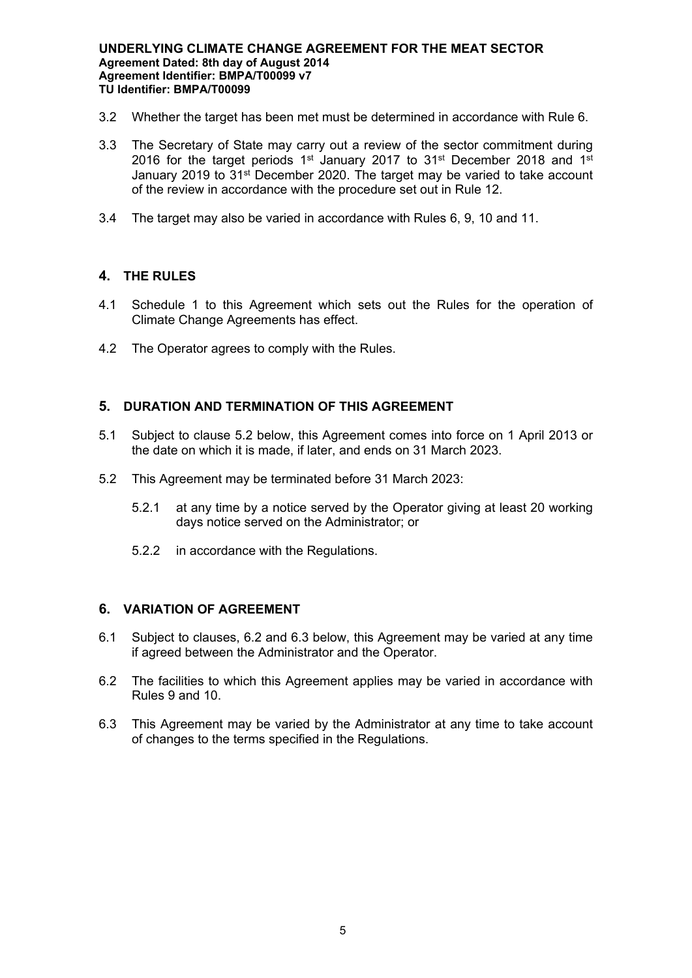- 3.2 Whether the target has been met must be determined in accordance with Rule 6.
- 3.3 The Secretary of State may carry out a review of the sector commitment during 2016 for the target periods  $1<sup>st</sup>$  January 2017 to 31<sup>st</sup> December 2018 and  $1<sup>st</sup>$ January 2019 to 31st December 2020. The target may be varied to take account of the review in accordance with the procedure set out in Rule 12.
- 3.4 The target may also be varied in accordance with Rules 6, 9, 10 and 11.

# **4. THE RULES**

- 4.1 Schedule 1 to this Agreement which sets out the Rules for the operation of Climate Change Agreements has effect.
- 4.2 The Operator agrees to comply with the Rules.

# **5. DURATION AND TERMINATION OF THIS AGREEMENT**

- 5.1 Subject to clause 5.2 below, this Agreement comes into force on 1 April 2013 or the date on which it is made, if later, and ends on 31 March 2023.
- 5.2 This Agreement may be terminated before 31 March 2023:
	- 5.2.1 at any time by a notice served by the Operator giving at least 20 working days notice served on the Administrator; or
	- 5.2.2 in accordance with the Regulations.

# **6. VARIATION OF AGREEMENT**

- 6.1 Subject to clauses, 6.2 and 6.3 below, this Agreement may be varied at any time if agreed between the Administrator and the Operator.
- 6.2 The facilities to which this Agreement applies may be varied in accordance with Rules 9 and 10.
- 6.3 This Agreement may be varied by the Administrator at any time to take account of changes to the terms specified in the Regulations.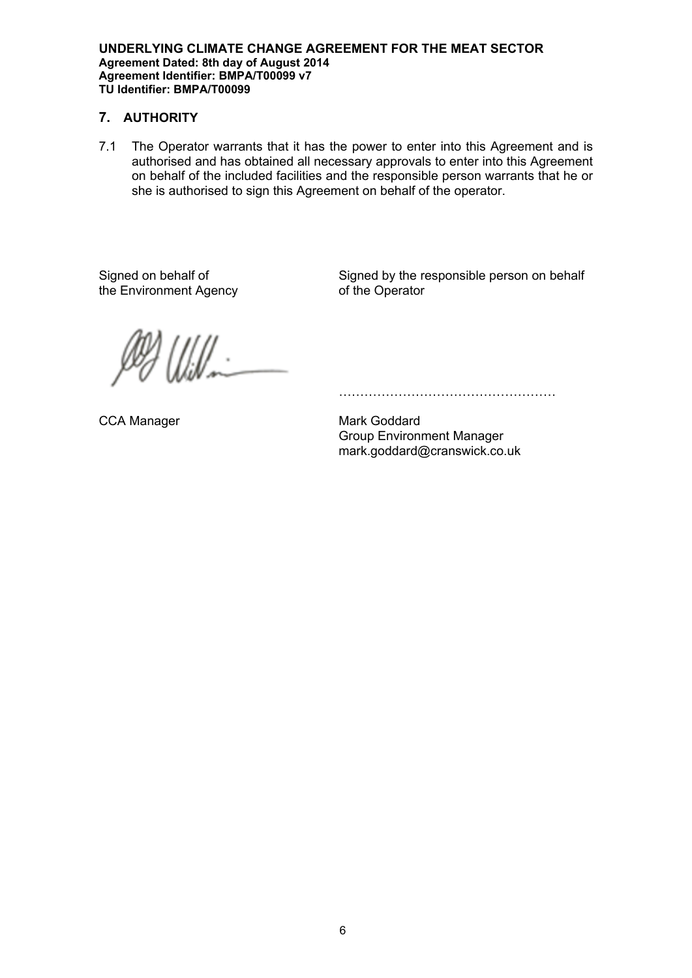# **7. AUTHORITY**

7.1 The Operator warrants that it has the power to enter into this Agreement and is authorised and has obtained all necessary approvals to enter into this Agreement on behalf of the included facilities and the responsible person warrants that he or she is authorised to sign this Agreement on behalf of the operator.

Signed on behalf of the Environment Agency Signed by the responsible person on behalf of the Operator

 $\frac{1}{2}$ 

…………………………………………………

CCA Manager Mark Goddard Group Environment Manager mark.goddard@cranswick.co.uk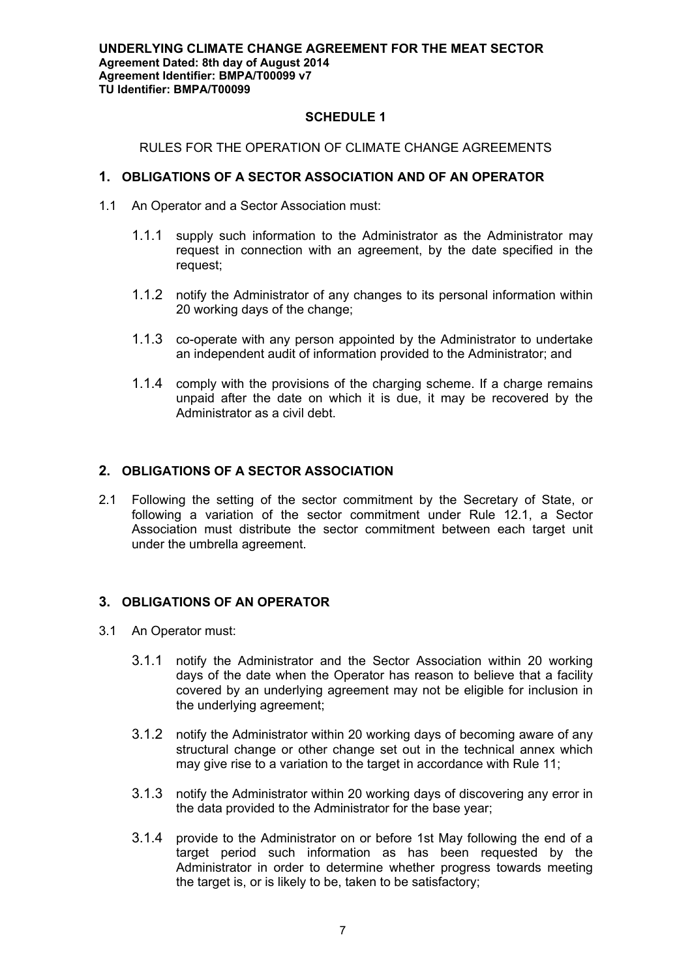## **SCHEDULE 1**

## RULES FOR THE OPERATION OF CLIMATE CHANGE AGREEMENTS

## **1. OBLIGATIONS OF A SECTOR ASSOCIATION AND OF AN OPERATOR**

- 1.1 An Operator and a Sector Association must:
	- 1.1.1 supply such information to the Administrator as the Administrator may request in connection with an agreement, by the date specified in the request;
	- 1.1.2 notify the Administrator of any changes to its personal information within 20 working days of the change;
	- 1.1.3 co-operate with any person appointed by the Administrator to undertake an independent audit of information provided to the Administrator; and
	- 1.1.4 comply with the provisions of the charging scheme. If a charge remains unpaid after the date on which it is due, it may be recovered by the Administrator as a civil debt.

# **2. OBLIGATIONS OF A SECTOR ASSOCIATION**

2.1 Following the setting of the sector commitment by the Secretary of State, or following a variation of the sector commitment under Rule 12.1, a Sector Association must distribute the sector commitment between each target unit under the umbrella agreement.

# **3. OBLIGATIONS OF AN OPERATOR**

- 3.1 An Operator must:
	- 3.1.1 notify the Administrator and the Sector Association within 20 working days of the date when the Operator has reason to believe that a facility covered by an underlying agreement may not be eligible for inclusion in the underlying agreement;
	- 3.1.2 notify the Administrator within 20 working days of becoming aware of any structural change or other change set out in the technical annex which may give rise to a variation to the target in accordance with Rule 11;
	- 3.1.3 notify the Administrator within 20 working days of discovering any error in the data provided to the Administrator for the base year;
	- 3.1.4 provide to the Administrator on or before 1st May following the end of a target period such information as has been requested by the Administrator in order to determine whether progress towards meeting the target is, or is likely to be, taken to be satisfactory;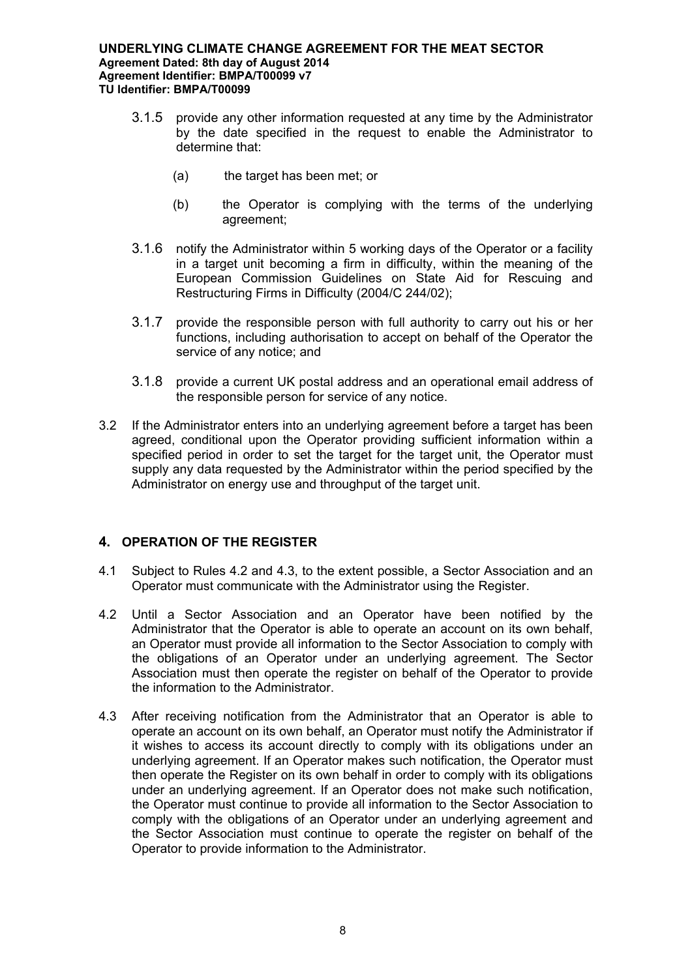- 3.1.5 provide any other information requested at any time by the Administrator by the date specified in the request to enable the Administrator to determine that:
	- (a) the target has been met; or
	- (b) the Operator is complying with the terms of the underlying agreement;
- 3.1.6 notify the Administrator within 5 working days of the Operator or a facility in a target unit becoming a firm in difficulty, within the meaning of the European Commission Guidelines on State Aid for Rescuing and Restructuring Firms in Difficulty (2004/C 244/02);
- 3.1.7 provide the responsible person with full authority to carry out his or her functions, including authorisation to accept on behalf of the Operator the service of any notice; and
- 3.1.8 provide a current UK postal address and an operational email address of the responsible person for service of any notice.
- 3.2 If the Administrator enters into an underlying agreement before a target has been agreed, conditional upon the Operator providing sufficient information within a specified period in order to set the target for the target unit, the Operator must supply any data requested by the Administrator within the period specified by the Administrator on energy use and throughput of the target unit.

# **4. OPERATION OF THE REGISTER**

- 4.1 Subject to Rules 4.2 and 4.3, to the extent possible, a Sector Association and an Operator must communicate with the Administrator using the Register.
- 4.2 Until a Sector Association and an Operator have been notified by the Administrator that the Operator is able to operate an account on its own behalf, an Operator must provide all information to the Sector Association to comply with the obligations of an Operator under an underlying agreement. The Sector Association must then operate the register on behalf of the Operator to provide the information to the Administrator.
- 4.3 After receiving notification from the Administrator that an Operator is able to operate an account on its own behalf, an Operator must notify the Administrator if it wishes to access its account directly to comply with its obligations under an underlying agreement. If an Operator makes such notification, the Operator must then operate the Register on its own behalf in order to comply with its obligations under an underlying agreement. If an Operator does not make such notification, the Operator must continue to provide all information to the Sector Association to comply with the obligations of an Operator under an underlying agreement and the Sector Association must continue to operate the register on behalf of the Operator to provide information to the Administrator.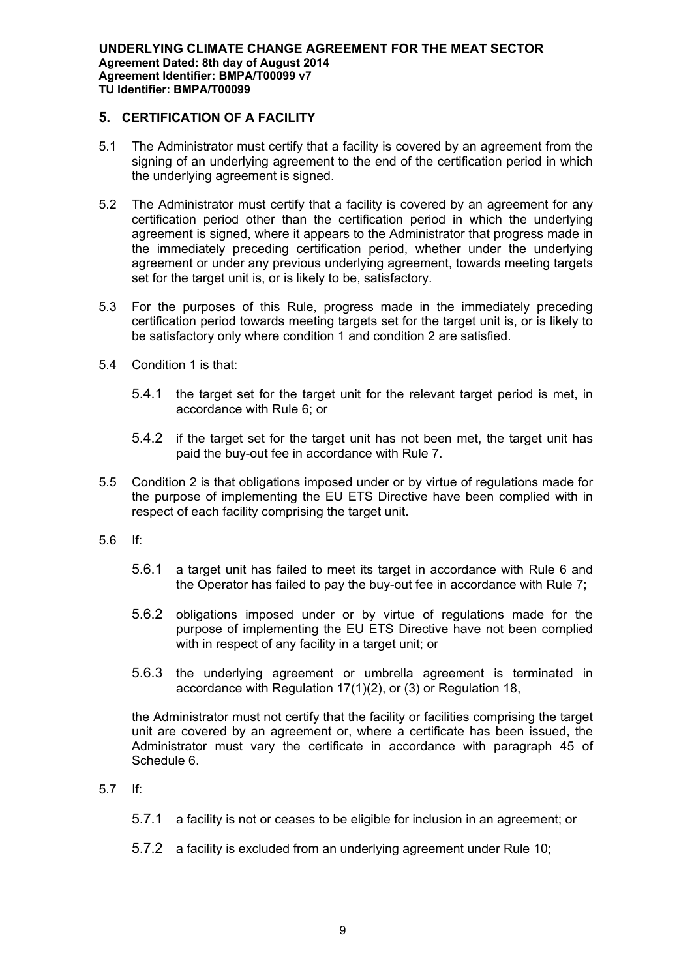# **5. CERTIFICATION OF A FACILITY**

- 5.1 The Administrator must certify that a facility is covered by an agreement from the signing of an underlying agreement to the end of the certification period in which the underlying agreement is signed.
- 5.2 The Administrator must certify that a facility is covered by an agreement for any certification period other than the certification period in which the underlying agreement is signed, where it appears to the Administrator that progress made in the immediately preceding certification period, whether under the underlying agreement or under any previous underlying agreement, towards meeting targets set for the target unit is, or is likely to be, satisfactory.
- 5.3 For the purposes of this Rule, progress made in the immediately preceding certification period towards meeting targets set for the target unit is, or is likely to be satisfactory only where condition 1 and condition 2 are satisfied.
- 5.4 Condition 1 is that:
	- 5.4.1 the target set for the target unit for the relevant target period is met, in accordance with Rule 6; or
	- 5.4.2 if the target set for the target unit has not been met, the target unit has paid the buy-out fee in accordance with Rule 7.
- 5.5 Condition 2 is that obligations imposed under or by virtue of regulations made for the purpose of implementing the EU ETS Directive have been complied with in respect of each facility comprising the target unit.
- 5.6 If:
	- 5.6.1 a target unit has failed to meet its target in accordance with Rule 6 and the Operator has failed to pay the buy-out fee in accordance with Rule 7;
	- 5.6.2 obligations imposed under or by virtue of regulations made for the purpose of implementing the EU ETS Directive have not been complied with in respect of any facility in a target unit; or
	- 5.6.3 the underlying agreement or umbrella agreement is terminated in accordance with Regulation 17(1)(2), or (3) or Regulation 18,

the Administrator must not certify that the facility or facilities comprising the target unit are covered by an agreement or, where a certificate has been issued, the Administrator must vary the certificate in accordance with paragraph 45 of Schedule 6.

- 5.7 If:
	- 5.7.1 a facility is not or ceases to be eligible for inclusion in an agreement; or
	- 5.7.2 a facility is excluded from an underlying agreement under Rule 10;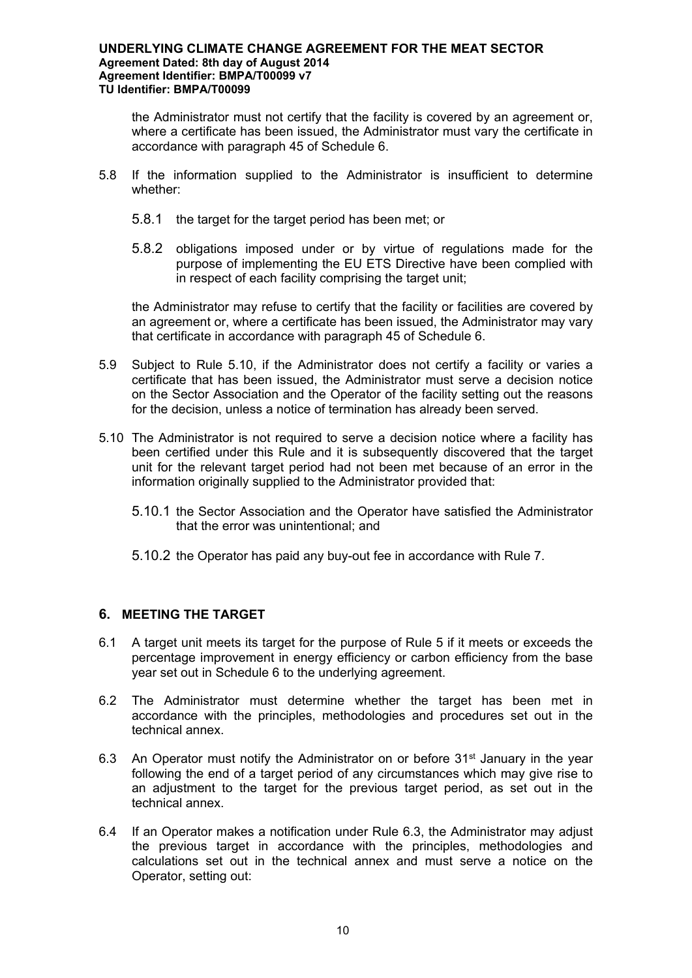the Administrator must not certify that the facility is covered by an agreement or, where a certificate has been issued, the Administrator must vary the certificate in accordance with paragraph 45 of Schedule 6.

- 5.8 If the information supplied to the Administrator is insufficient to determine whether:
	- 5.8.1 the target for the target period has been met; or
	- 5.8.2 obligations imposed under or by virtue of regulations made for the purpose of implementing the EU ETS Directive have been complied with in respect of each facility comprising the target unit;

the Administrator may refuse to certify that the facility or facilities are covered by an agreement or, where a certificate has been issued, the Administrator may vary that certificate in accordance with paragraph 45 of Schedule 6.

- 5.9 Subject to Rule 5.10, if the Administrator does not certify a facility or varies a certificate that has been issued, the Administrator must serve a decision notice on the Sector Association and the Operator of the facility setting out the reasons for the decision, unless a notice of termination has already been served.
- 5.10 The Administrator is not required to serve a decision notice where a facility has been certified under this Rule and it is subsequently discovered that the target unit for the relevant target period had not been met because of an error in the information originally supplied to the Administrator provided that:
	- 5.10.1 the Sector Association and the Operator have satisfied the Administrator that the error was unintentional; and
	- 5.10.2 the Operator has paid any buy-out fee in accordance with Rule 7.

# **6. MEETING THE TARGET**

- 6.1 A target unit meets its target for the purpose of Rule 5 if it meets or exceeds the percentage improvement in energy efficiency or carbon efficiency from the base year set out in Schedule 6 to the underlying agreement.
- 6.2 The Administrator must determine whether the target has been met in accordance with the principles, methodologies and procedures set out in the technical annex.
- 6.3 An Operator must notify the Administrator on or before  $31<sup>st</sup>$  January in the year following the end of a target period of any circumstances which may give rise to an adjustment to the target for the previous target period, as set out in the technical annex.
- 6.4 If an Operator makes a notification under Rule 6.3, the Administrator may adjust the previous target in accordance with the principles, methodologies and calculations set out in the technical annex and must serve a notice on the Operator, setting out: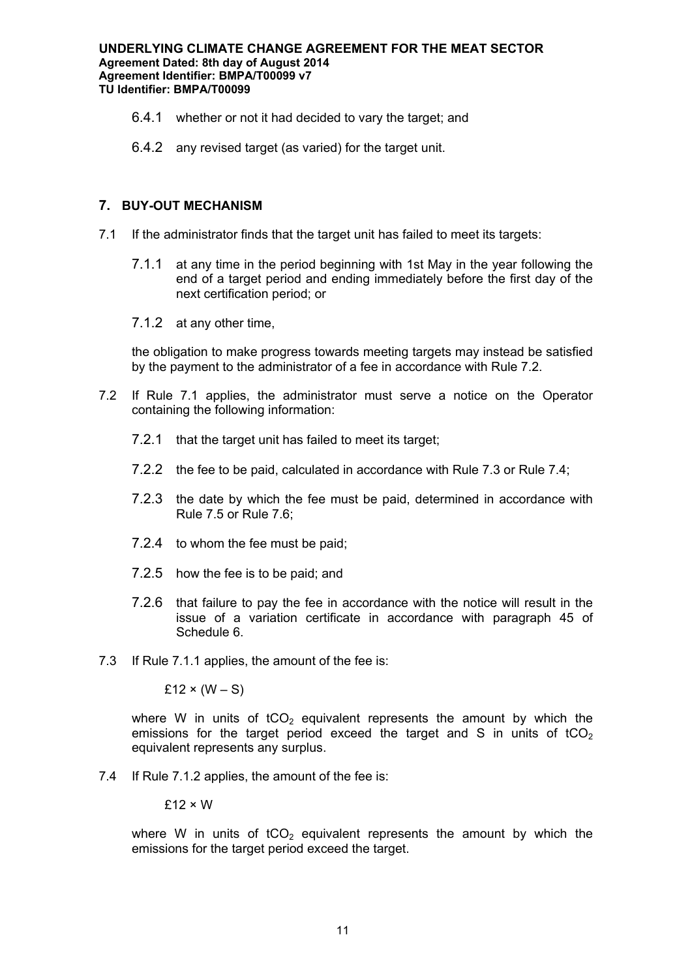- 6.4.1 whether or not it had decided to vary the target; and
- 6.4.2 any revised target (as varied) for the target unit.

## **7. BUY-OUT MECHANISM**

- 7.1 If the administrator finds that the target unit has failed to meet its targets:
	- 7.1.1 at any time in the period beginning with 1st May in the year following the end of a target period and ending immediately before the first day of the next certification period; or
	- 7.1.2 at any other time,

the obligation to make progress towards meeting targets may instead be satisfied by the payment to the administrator of a fee in accordance with Rule 7.2.

- 7.2 If Rule 7.1 applies, the administrator must serve a notice on the Operator containing the following information:
	- 7.2.1 that the target unit has failed to meet its target;
	- 7.2.2 the fee to be paid, calculated in accordance with Rule 7.3 or Rule 7.4;
	- 7.2.3 the date by which the fee must be paid, determined in accordance with Rule 7.5 or Rule 7.6;
	- 7.2.4 to whom the fee must be paid;
	- 7.2.5 how the fee is to be paid; and
	- 7.2.6 that failure to pay the fee in accordance with the notice will result in the issue of a variation certificate in accordance with paragraph 45 of Schedule 6.
- 7.3 If Rule 7.1.1 applies, the amount of the fee is:

 $£12 \times (W - S)$ 

where W in units of  $tCO<sub>2</sub>$  equivalent represents the amount by which the emissions for the target period exceed the target and S in units of tCO<sub>2</sub> equivalent represents any surplus.

7.4 If Rule 7.1.2 applies, the amount of the fee is:

 $£12 \times W$ 

where W in units of  $tCO<sub>2</sub>$  equivalent represents the amount by which the emissions for the target period exceed the target.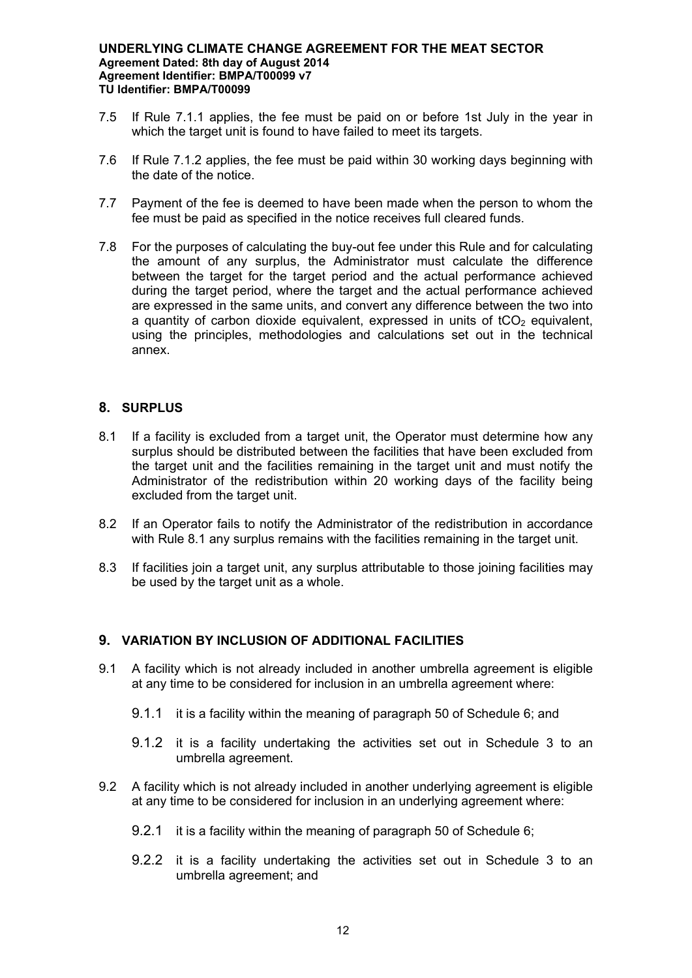- 7.5 If Rule 7.1.1 applies, the fee must be paid on or before 1st July in the year in which the target unit is found to have failed to meet its targets.
- 7.6 If Rule 7.1.2 applies, the fee must be paid within 30 working days beginning with the date of the notice.
- 7.7 Payment of the fee is deemed to have been made when the person to whom the fee must be paid as specified in the notice receives full cleared funds.
- 7.8 For the purposes of calculating the buy-out fee under this Rule and for calculating the amount of any surplus, the Administrator must calculate the difference between the target for the target period and the actual performance achieved during the target period, where the target and the actual performance achieved are expressed in the same units, and convert any difference between the two into a quantity of carbon dioxide equivalent, expressed in units of  $tCO<sub>2</sub>$  equivalent, using the principles, methodologies and calculations set out in the technical annex.

## **8. SURPLUS**

- 8.1 If a facility is excluded from a target unit, the Operator must determine how any surplus should be distributed between the facilities that have been excluded from the target unit and the facilities remaining in the target unit and must notify the Administrator of the redistribution within 20 working days of the facility being excluded from the target unit.
- 8.2 If an Operator fails to notify the Administrator of the redistribution in accordance with Rule 8.1 any surplus remains with the facilities remaining in the target unit.
- 8.3 If facilities join a target unit, any surplus attributable to those joining facilities may be used by the target unit as a whole.

# **9. VARIATION BY INCLUSION OF ADDITIONAL FACILITIES**

- 9.1 A facility which is not already included in another umbrella agreement is eligible at any time to be considered for inclusion in an umbrella agreement where:
	- 9.1.1 it is a facility within the meaning of paragraph 50 of Schedule 6; and
	- 9.1.2 it is a facility undertaking the activities set out in Schedule 3 to an umbrella agreement.
- 9.2 A facility which is not already included in another underlying agreement is eligible at any time to be considered for inclusion in an underlying agreement where:
	- 9.2.1 it is a facility within the meaning of paragraph 50 of Schedule 6;
	- 9.2.2 it is a facility undertaking the activities set out in Schedule 3 to an umbrella agreement; and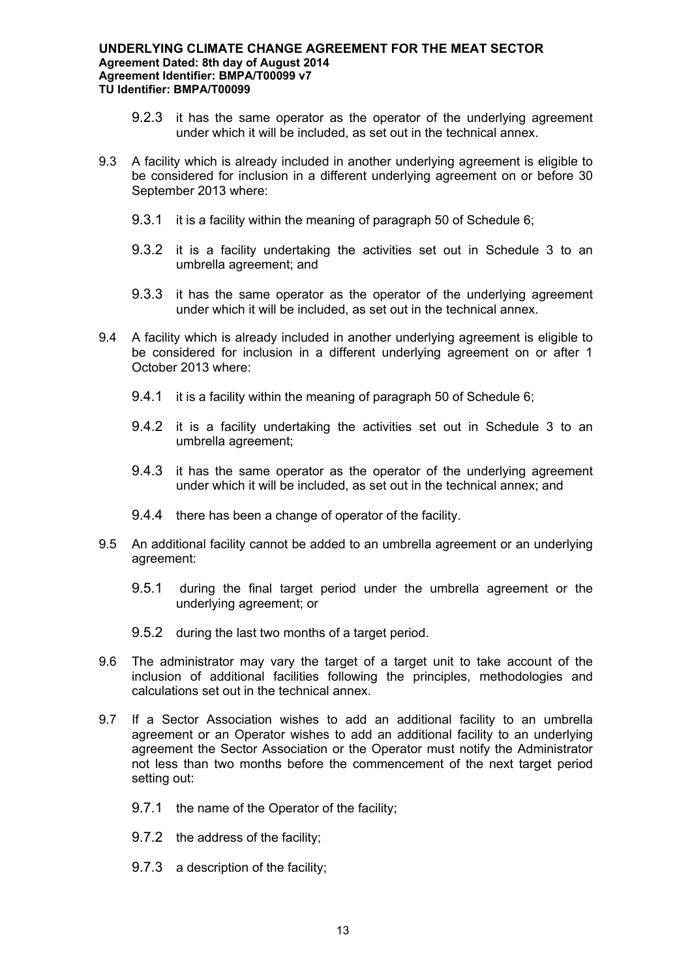- 9.2.3 it has the same operator as the operator of the underlying agreement under which it will be included, as set out in the technical annex.
- 9.3 A facility which is already included in another underlying agreement is eligible to be considered for inclusion in a different underlying agreement on or before 30 September 2013 where:
	- 9.3.1 it is a facility within the meaning of paragraph 50 of Schedule 6;
	- 9.3.2 it is a facility undertaking the activities set out in Schedule 3 to an umbrella agreement; and
	- 9.3.3 it has the same operator as the operator of the underlying agreement under which it will be included, as set out in the technical annex.
- 9.4 A facility which is already included in another underlying agreement is eligible to be considered for inclusion in a different underlying agreement on or after 1 October 2013 where:
	- 9.4.1 it is a facility within the meaning of paragraph 50 of Schedule 6;
	- 9.4.2 it is a facility undertaking the activities set out in Schedule 3 to an umbrella agreement;
	- 9.4.3 it has the same operator as the operator of the underlying agreement under which it will be included, as set out in the technical annex; and
	- 9.4.4 there has been a change of operator of the facility.
- 9.5 An additional facility cannot be added to an umbrella agreement or an underlying agreement:
	- 9.5.1 during the final target period under the umbrella agreement or the underlying agreement; or
	- 9.5.2 during the last two months of a target period.
- 9.6 The administrator may vary the target of a target unit to take account of the inclusion of additional facilities following the principles, methodologies and calculations set out in the technical annex.
- 9.7 If a Sector Association wishes to add an additional facility to an umbrella agreement or an Operator wishes to add an additional facility to an underlying agreement the Sector Association or the Operator must notify the Administrator not less than two months before the commencement of the next target period setting out:
	- 9.7.1 the name of the Operator of the facility;
	- 9.7.2 the address of the facility;
	- 9.7.3 a description of the facility;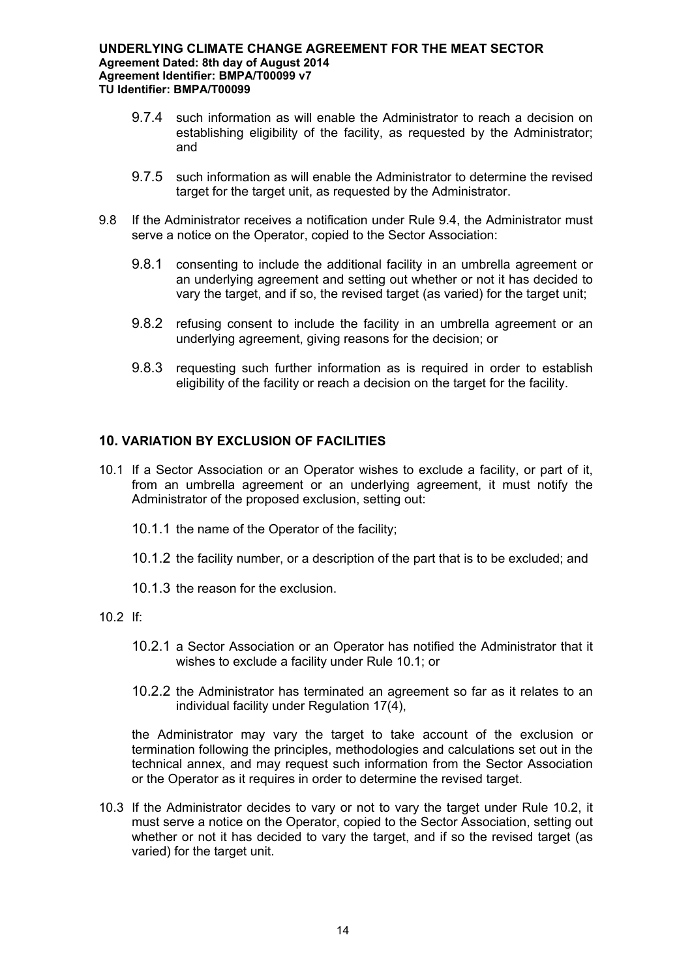- 9.7.4 such information as will enable the Administrator to reach a decision on establishing eligibility of the facility, as requested by the Administrator; and
- 9.7.5 such information as will enable the Administrator to determine the revised target for the target unit, as requested by the Administrator.
- 9.8 If the Administrator receives a notification under Rule 9.4, the Administrator must serve a notice on the Operator, copied to the Sector Association:
	- 9.8.1 consenting to include the additional facility in an umbrella agreement or an underlying agreement and setting out whether or not it has decided to vary the target, and if so, the revised target (as varied) for the target unit;
	- 9.8.2 refusing consent to include the facility in an umbrella agreement or an underlying agreement, giving reasons for the decision; or
	- 9.8.3 requesting such further information as is required in order to establish eligibility of the facility or reach a decision on the target for the facility.

# **10. VARIATION BY EXCLUSION OF FACILITIES**

- 10.1 If a Sector Association or an Operator wishes to exclude a facility, or part of it, from an umbrella agreement or an underlying agreement, it must notify the Administrator of the proposed exclusion, setting out:
	- 10.1.1 the name of the Operator of the facility;
	- 10.1.2 the facility number, or a description of the part that is to be excluded; and
	- 10.1.3 the reason for the exclusion.
- 10.2 If:
	- 10.2.1 a Sector Association or an Operator has notified the Administrator that it wishes to exclude a facility under Rule 10.1; or
	- 10.2.2 the Administrator has terminated an agreement so far as it relates to an individual facility under Regulation 17(4),

the Administrator may vary the target to take account of the exclusion or termination following the principles, methodologies and calculations set out in the technical annex, and may request such information from the Sector Association or the Operator as it requires in order to determine the revised target.

10.3 If the Administrator decides to vary or not to vary the target under Rule 10.2, it must serve a notice on the Operator, copied to the Sector Association, setting out whether or not it has decided to vary the target, and if so the revised target (as varied) for the target unit.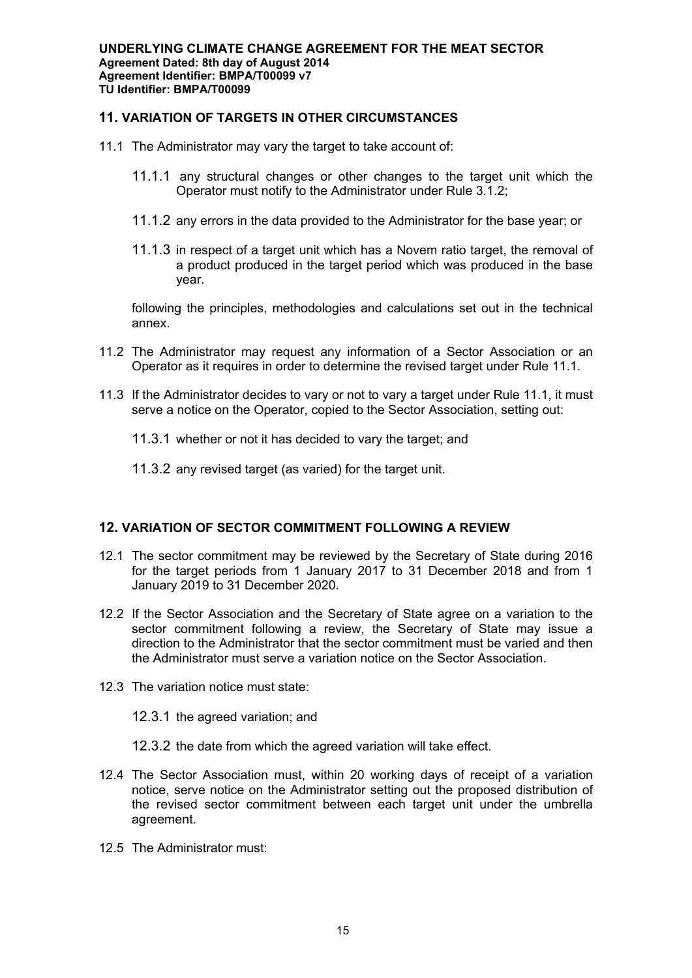# **11. VARIATION OF TARGETS IN OTHER CIRCUMSTANCES**

- 11.1 The Administrator may vary the target to take account of:
	- 11.1.1 any structural changes or other changes to the target unit which the Operator must notify to the Administrator under Rule 3.1.2;
	- 11.1.2 any errors in the data provided to the Administrator for the base year; or
	- 11.1.3 in respect of a target unit which has a Novem ratio target, the removal of a product produced in the target period which was produced in the base year.

following the principles, methodologies and calculations set out in the technical annex.

- 11.2 The Administrator may request any information of a Sector Association or an Operator as it requires in order to determine the revised target under Rule 11.1.
- 11.3 If the Administrator decides to vary or not to vary a target under Rule 11.1, it must serve a notice on the Operator, copied to the Sector Association, setting out:
	- 11.3.1 whether or not it has decided to vary the target; and
	- 11.3.2 any revised target (as varied) for the target unit.

# **12. VARIATION OF SECTOR COMMITMENT FOLLOWING A REVIEW**

- 12.1 The sector commitment may be reviewed by the Secretary of State during 2016 for the target periods from 1 January 2017 to 31 December 2018 and from 1 January 2019 to 31 December 2020.
- 12.2 If the Sector Association and the Secretary of State agree on a variation to the sector commitment following a review, the Secretary of State may issue a direction to the Administrator that the sector commitment must be varied and then the Administrator must serve a variation notice on the Sector Association.
- 12.3 The variation notice must state:

12.3.1 the agreed variation; and

- 12.3.2 the date from which the agreed variation will take effect.
- 12.4 The Sector Association must, within 20 working days of receipt of a variation notice, serve notice on the Administrator setting out the proposed distribution of the revised sector commitment between each target unit under the umbrella agreement.
- 12.5 The Administrator must: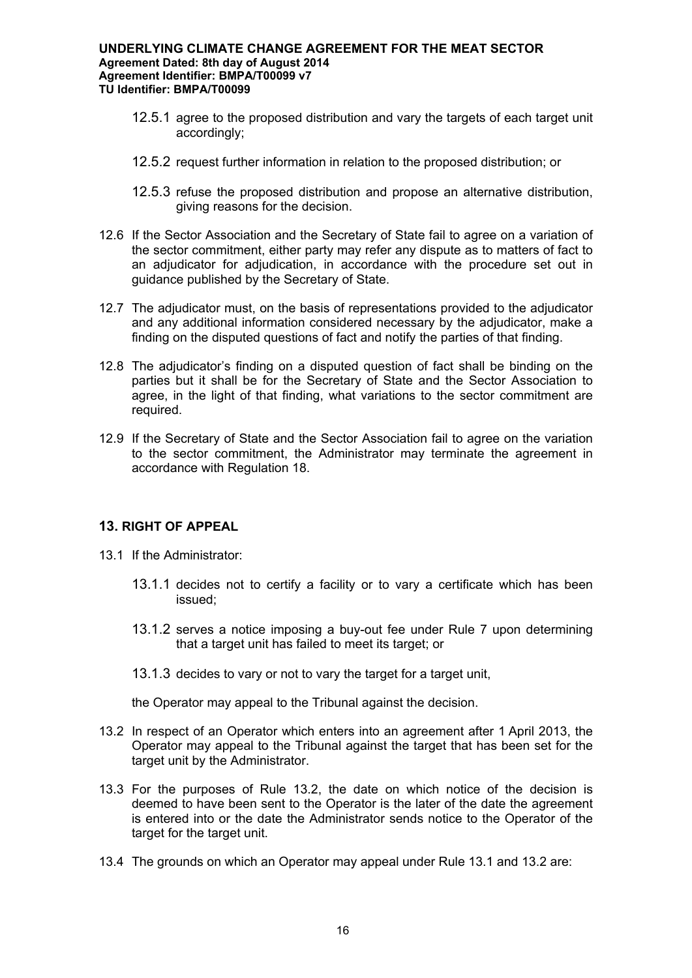- 12.5.1 agree to the proposed distribution and vary the targets of each target unit accordingly;
- 12.5.2 request further information in relation to the proposed distribution; or
- 12.5.3 refuse the proposed distribution and propose an alternative distribution, giving reasons for the decision.
- 12.6 If the Sector Association and the Secretary of State fail to agree on a variation of the sector commitment, either party may refer any dispute as to matters of fact to an adjudicator for adjudication, in accordance with the procedure set out in guidance published by the Secretary of State.
- 12.7 The adjudicator must, on the basis of representations provided to the adjudicator and any additional information considered necessary by the adjudicator, make a finding on the disputed questions of fact and notify the parties of that finding.
- 12.8 The adjudicator's finding on a disputed question of fact shall be binding on the parties but it shall be for the Secretary of State and the Sector Association to agree, in the light of that finding, what variations to the sector commitment are required.
- 12.9 If the Secretary of State and the Sector Association fail to agree on the variation to the sector commitment, the Administrator may terminate the agreement in accordance with Regulation 18.

# **13. RIGHT OF APPEAL**

- 13.1 If the Administrator:
	- 13.1.1 decides not to certify a facility or to vary a certificate which has been issued;
	- 13.1.2 serves a notice imposing a buy-out fee under Rule 7 upon determining that a target unit has failed to meet its target; or
	- 13.1.3 decides to vary or not to vary the target for a target unit,

the Operator may appeal to the Tribunal against the decision.

- 13.2 In respect of an Operator which enters into an agreement after 1 April 2013, the Operator may appeal to the Tribunal against the target that has been set for the target unit by the Administrator.
- 13.3 For the purposes of Rule 13.2, the date on which notice of the decision is deemed to have been sent to the Operator is the later of the date the agreement is entered into or the date the Administrator sends notice to the Operator of the target for the target unit.
- 13.4 The grounds on which an Operator may appeal under Rule 13.1 and 13.2 are: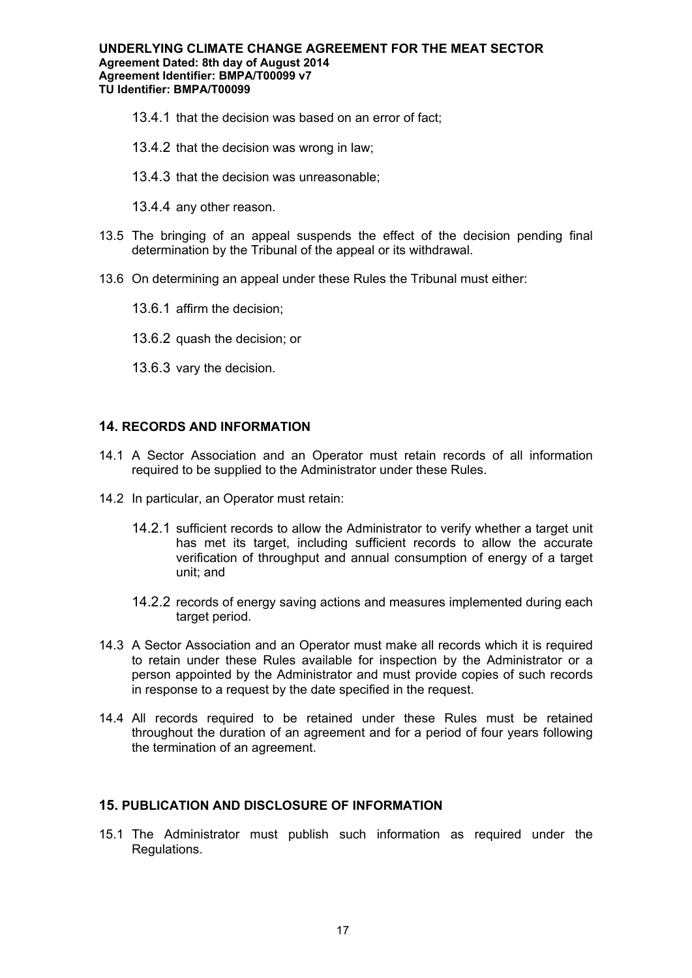- 13.4.1 that the decision was based on an error of fact;
- 13.4.2 that the decision was wrong in law;
- 13.4.3 that the decision was unreasonable;
- 13.4.4 any other reason.
- 13.5 The bringing of an appeal suspends the effect of the decision pending final determination by the Tribunal of the appeal or its withdrawal.
- 13.6 On determining an appeal under these Rules the Tribunal must either:
	- 13.6.1 affirm the decision;
	- 13.6.2 quash the decision; or
	- 13.6.3 vary the decision.

# **14. RECORDS AND INFORMATION**

- 14.1 A Sector Association and an Operator must retain records of all information required to be supplied to the Administrator under these Rules.
- 14.2 In particular, an Operator must retain:
	- 14.2.1 sufficient records to allow the Administrator to verify whether a target unit has met its target, including sufficient records to allow the accurate verification of throughput and annual consumption of energy of a target unit; and
	- 14.2.2 records of energy saving actions and measures implemented during each target period.
- 14.3 A Sector Association and an Operator must make all records which it is required to retain under these Rules available for inspection by the Administrator or a person appointed by the Administrator and must provide copies of such records in response to a request by the date specified in the request.
- 14.4 All records required to be retained under these Rules must be retained throughout the duration of an agreement and for a period of four years following the termination of an agreement.

### **15. PUBLICATION AND DISCLOSURE OF INFORMATION**

15.1 The Administrator must publish such information as required under the Regulations.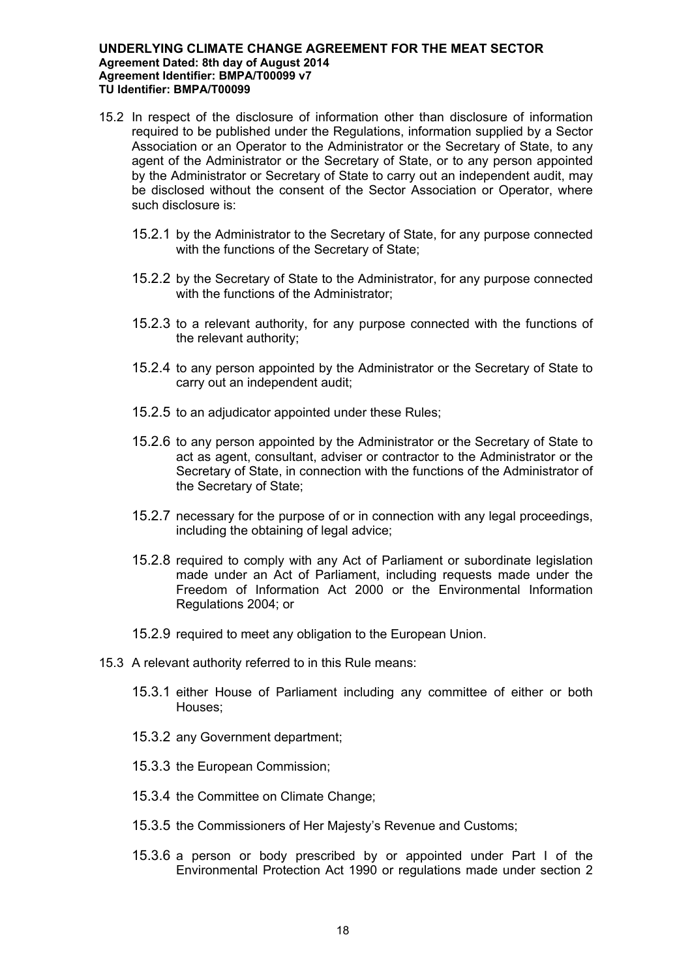- 15.2 In respect of the disclosure of information other than disclosure of information required to be published under the Regulations, information supplied by a Sector Association or an Operator to the Administrator or the Secretary of State, to any agent of the Administrator or the Secretary of State, or to any person appointed by the Administrator or Secretary of State to carry out an independent audit, may be disclosed without the consent of the Sector Association or Operator, where such disclosure is:
	- 15.2.1 by the Administrator to the Secretary of State, for any purpose connected with the functions of the Secretary of State:
	- 15.2.2 by the Secretary of State to the Administrator, for any purpose connected with the functions of the Administrator;
	- 15.2.3 to a relevant authority, for any purpose connected with the functions of the relevant authority;
	- 15.2.4 to any person appointed by the Administrator or the Secretary of State to carry out an independent audit;
	- 15.2.5 to an adjudicator appointed under these Rules;
	- 15.2.6 to any person appointed by the Administrator or the Secretary of State to act as agent, consultant, adviser or contractor to the Administrator or the Secretary of State, in connection with the functions of the Administrator of the Secretary of State;
	- 15.2.7 necessary for the purpose of or in connection with any legal proceedings, including the obtaining of legal advice:
	- 15.2.8 required to comply with any Act of Parliament or subordinate legislation made under an Act of Parliament, including requests made under the Freedom of Information Act 2000 or the Environmental Information Regulations 2004; or
	- 15.2.9 required to meet any obligation to the European Union.
- 15.3 A relevant authority referred to in this Rule means:
	- 15.3.1 either House of Parliament including any committee of either or both Houses;
	- 15.3.2 any Government department;
	- 15.3.3 the European Commission;
	- 15.3.4 the Committee on Climate Change;
	- 15.3.5 the Commissioners of Her Majesty's Revenue and Customs;
	- 15.3.6 a person or body prescribed by or appointed under Part I of the Environmental Protection Act 1990 or regulations made under section 2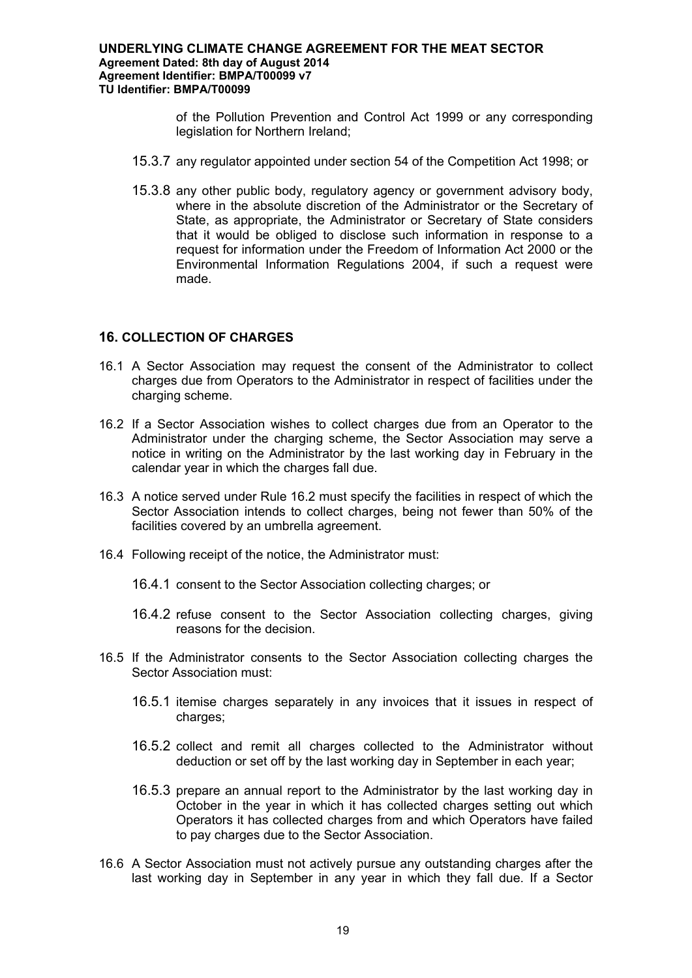of the Pollution Prevention and Control Act 1999 or any corresponding legislation for Northern Ireland;

- 15.3.7 any regulator appointed under section 54 of the Competition Act 1998; or
- 15.3.8 any other public body, regulatory agency or government advisory body, where in the absolute discretion of the Administrator or the Secretary of State, as appropriate, the Administrator or Secretary of State considers that it would be obliged to disclose such information in response to a request for information under the Freedom of Information Act 2000 or the Environmental Information Regulations 2004, if such a request were made.

## **16. COLLECTION OF CHARGES**

- 16.1 A Sector Association may request the consent of the Administrator to collect charges due from Operators to the Administrator in respect of facilities under the charging scheme.
- 16.2 If a Sector Association wishes to collect charges due from an Operator to the Administrator under the charging scheme, the Sector Association may serve a notice in writing on the Administrator by the last working day in February in the calendar year in which the charges fall due.
- 16.3 A notice served under Rule 16.2 must specify the facilities in respect of which the Sector Association intends to collect charges, being not fewer than 50% of the facilities covered by an umbrella agreement.
- 16.4 Following receipt of the notice, the Administrator must:
	- 16.4.1 consent to the Sector Association collecting charges; or
	- 16.4.2 refuse consent to the Sector Association collecting charges, giving reasons for the decision.
- 16.5 If the Administrator consents to the Sector Association collecting charges the Sector Association must:
	- 16.5.1 itemise charges separately in any invoices that it issues in respect of charges;
	- 16.5.2 collect and remit all charges collected to the Administrator without deduction or set off by the last working day in September in each year;
	- 16.5.3 prepare an annual report to the Administrator by the last working day in October in the year in which it has collected charges setting out which Operators it has collected charges from and which Operators have failed to pay charges due to the Sector Association.
- 16.6 A Sector Association must not actively pursue any outstanding charges after the last working day in September in any year in which they fall due. If a Sector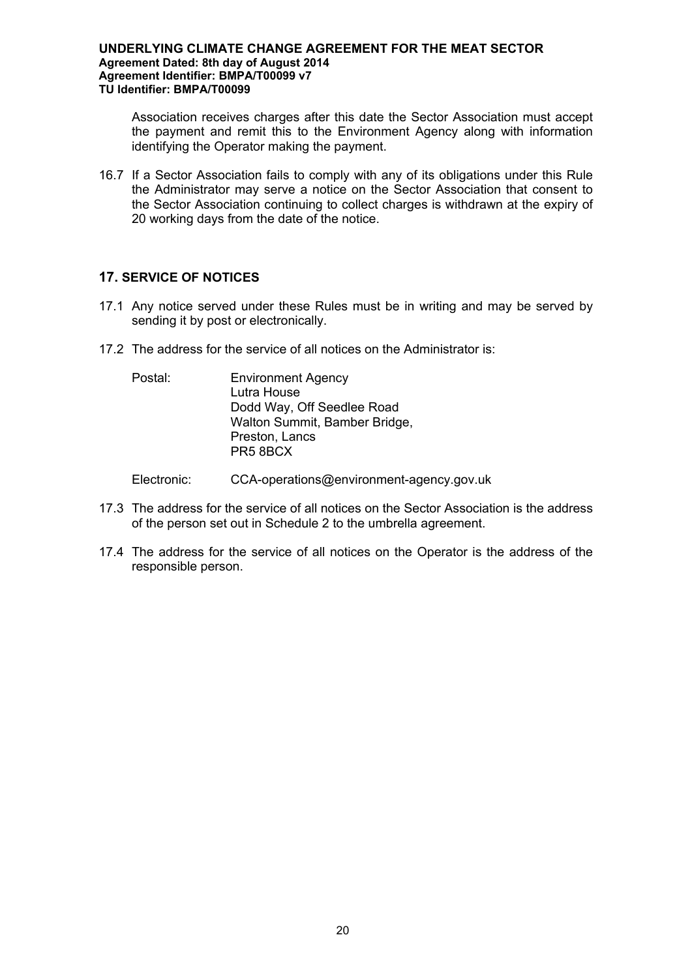Association receives charges after this date the Sector Association must accept the payment and remit this to the Environment Agency along with information identifying the Operator making the payment.

16.7 If a Sector Association fails to comply with any of its obligations under this Rule the Administrator may serve a notice on the Sector Association that consent to the Sector Association continuing to collect charges is withdrawn at the expiry of 20 working days from the date of the notice.

# **17. SERVICE OF NOTICES**

- 17.1 Any notice served under these Rules must be in writing and may be served by sending it by post or electronically.
- 17.2 The address for the service of all notices on the Administrator is:

Postal: Environment Agency Lutra House Dodd Way, Off Seedlee Road Walton Summit, Bamber Bridge, Preston, Lancs PR5 8BCX

Electronic: CCA-operations@environment-agency.gov.uk

- 17.3 The address for the service of all notices on the Sector Association is the address of the person set out in Schedule 2 to the umbrella agreement.
- 17.4 The address for the service of all notices on the Operator is the address of the responsible person.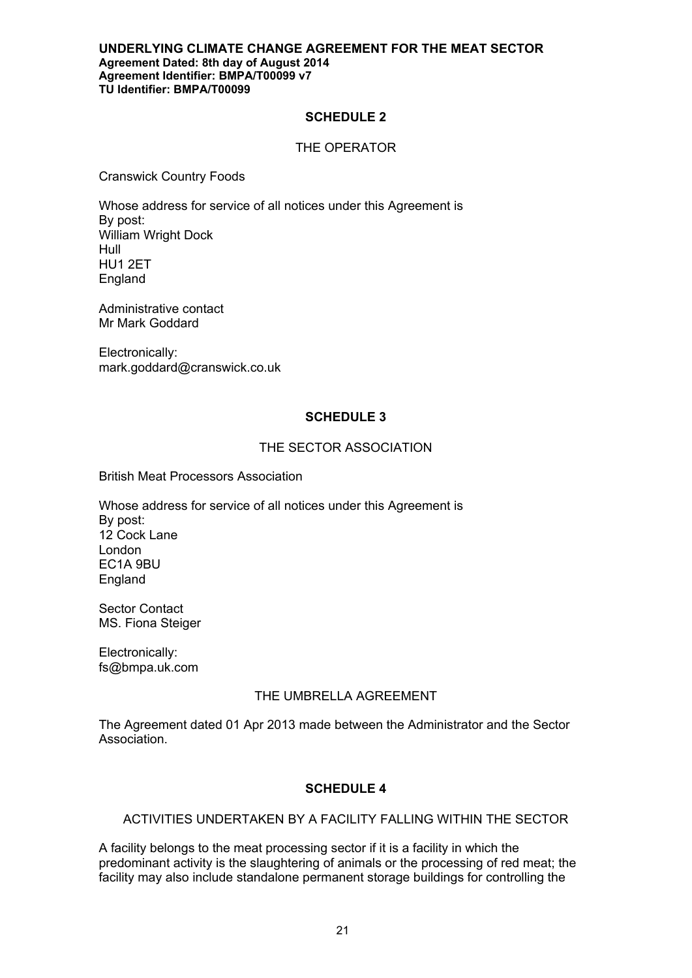### **SCHEDULE 2**

## THE OPERATOR

Cranswick Country Foods

Whose address for service of all notices under this Agreement is By post: William Wright Dock Hull HU1 2ET England

Administrative contact Mr Mark Goddard

Electronically: mark.goddard@cranswick.co.uk

# **SCHEDULE 3**

## THE SECTOR ASSOCIATION

British Meat Processors Association

Whose address for service of all notices under this Agreement is By post: 12 Cock Lane London EC1A 9BU England

Sector Contact MS. Fiona Steiger

Electronically: fs@bmpa.uk.com

### THE UMBRELLA AGREEMENT

The Agreement dated 01 Apr 2013 made between the Administrator and the Sector Association.

# **SCHEDULE 4**

## ACTIVITIES UNDERTAKEN BY A FACILITY FALLING WITHIN THE SECTOR

A facility belongs to the meat processing sector if it is a facility in which the predominant activity is the slaughtering of animals or the processing of red meat; the facility may also include standalone permanent storage buildings for controlling the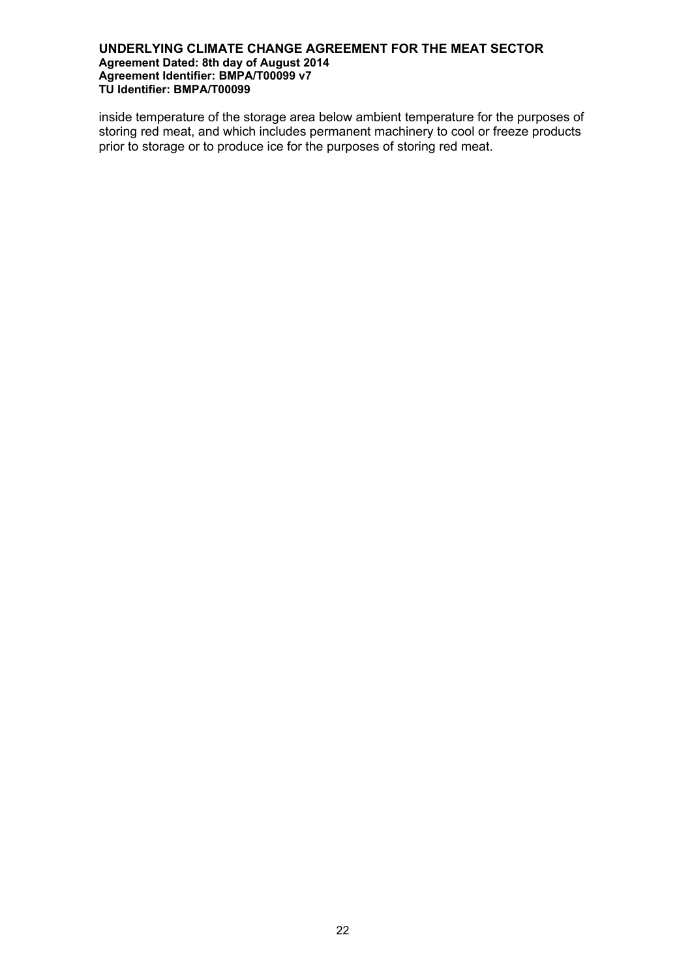inside temperature of the storage area below ambient temperature for the purposes of storing red meat, and which includes permanent machinery to cool or freeze products prior to storage or to produce ice for the purposes of storing red meat.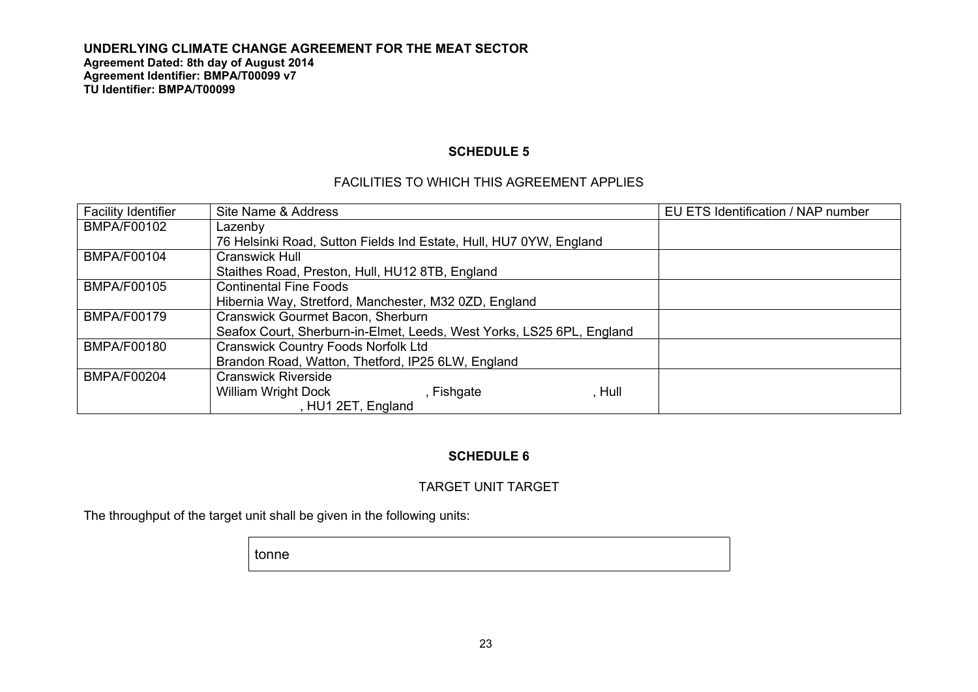## **SCHEDULE 5**

# FACILITIES TO WHICH THIS AGREEMENT APPLIES

| <b>Facility Identifier</b> | Site Name & Address                                                   | EU ETS Identification / NAP number |  |
|----------------------------|-----------------------------------------------------------------------|------------------------------------|--|
| <b>BMPA/F00102</b>         | Lazenby                                                               |                                    |  |
|                            | 76 Helsinki Road, Sutton Fields Ind Estate, Hull, HU7 0YW, England    |                                    |  |
| <b>BMPA/F00104</b>         | Cranswick Hull                                                        |                                    |  |
|                            | Staithes Road, Preston, Hull, HU12 8TB, England                       |                                    |  |
| <b>BMPA/F00105</b>         | <b>Continental Fine Foods</b>                                         |                                    |  |
|                            | Hibernia Way, Stretford, Manchester, M32 0ZD, England                 |                                    |  |
| BMPA/F00179                | Cranswick Gourmet Bacon, Sherburn                                     |                                    |  |
|                            | Seafox Court, Sherburn-in-Elmet, Leeds, West Yorks, LS25 6PL, England |                                    |  |
| <b>BMPA/F00180</b>         | <b>Cranswick Country Foods Norfolk Ltd</b>                            |                                    |  |
|                            | Brandon Road, Watton, Thetford, IP25 6LW, England                     |                                    |  |
| BMPA/F00204                | <b>Cranswick Riverside</b>                                            |                                    |  |
|                            | , Hull<br><b>William Wright Dock</b><br>, Fishgate                    |                                    |  |
|                            | , HU1 2ET, England                                                    |                                    |  |

# **SCHEDULE 6**

## TARGET UNIT TARGET

The throughput of the target unit shall be given in the following units:

tonne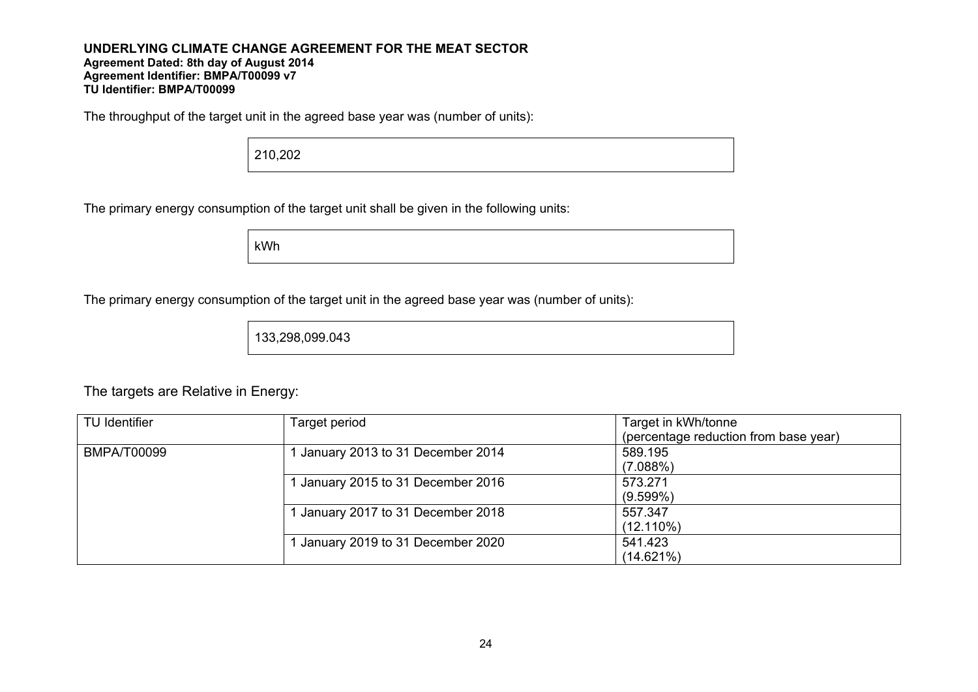The throughput of the target unit in the agreed base year was (number of units):

210,202

The primary energy consumption of the target unit shall be given in the following units:

kWh

The primary energy consumption of the target unit in the agreed base year was (number of units):

133,298,099.043

The targets are Relative in Energy:

| <b>TU Identifier</b> | Target period                    | Target in kWh/tonne                   |
|----------------------|----------------------------------|---------------------------------------|
|                      |                                  | (percentage reduction from base year) |
| <b>BMPA/T00099</b>   | January 2013 to 31 December 2014 | 589.195                               |
|                      |                                  | (7.088%)                              |
|                      | January 2015 to 31 December 2016 | 573.271                               |
|                      |                                  | $(9.599\%)$                           |
|                      | January 2017 to 31 December 2018 | 557.347                               |
|                      |                                  | $(12.110\%)$                          |
|                      | January 2019 to 31 December 2020 | 541.423                               |
|                      |                                  | (14.621%)                             |